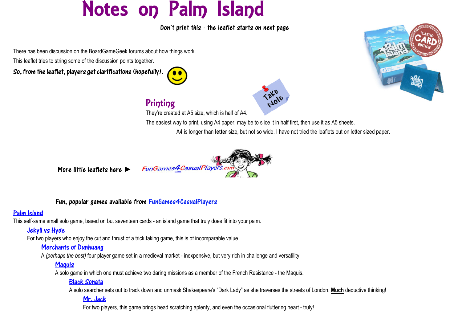# Notes on Palm Island

Don't print this - the leaflet starts on next page

There has been discussion on the BoardGameGeek forums about how things work.

This leaflet tries to string some of the discussion points together.

So, from the leaflet, players get clarifications (hopefully).







## **Printing**

They're created at A5 size, which is half of A4.

The easiest way to print, using A4 paper, may be to slice it in half first, then use it as A5 sheets.

A4 is longer than **letter** size, but not so wide. I have not tried the leaflets out on letter sized paper.



More little leaflets here ►

#### Fun, popular games available from FunGames4CasualPlayers

#### [Palm Island](https://fungames4casualplayers.com/palm-island)

This self-same small solo game, based on but seventeen cards - an island game that truly does fit into your palm.

## [Jekyll vs Hyde](https://fungames4casualplayers.com/jekyll-and-hyde)

For two players who enjoy the cut and thrust of a trick taking game, this is of incomparable value

#### [Merchants of Dunhuang](https://fungames4casualplayers.com/Dunhuang)

A *(perhaps the best)* four player game set in a medieval market - inexpensive, but very rich in challenge and versatility.

## **Maguis**

A solo game in which one must achieve two daring missions as a member of the French Resistance - the Maquis.

## [Black Sonata](https://fungames4casualplayers.com/black-sonata)

A solo searcher sets out to track down and unmask Shakespeare's "Dark Lady" as she traverses the streets of London. **Much** deductive thinking!

## [Mr. Jack](https://fungames4casualplayers.com/mrjack)

For two players, this game brings head scratching aplenty, and even the occasional fluttering heart - truly!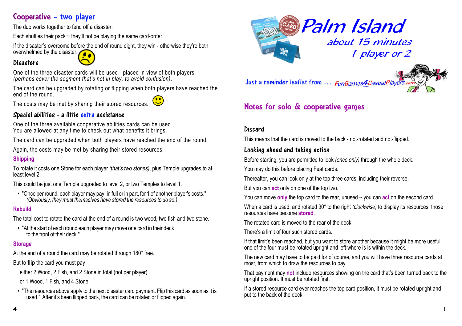## Cooperative - two player

The duo works together to fend off a disaster.

Each shuffles their pack  $\sim$  they'll not be playing the same card-order.

If the disaster's overcome before the end of round eight, they win - otherwise they're both

## overwhelmed by the disaster.

#### **Disacters**

One of the three disaster cards will be used - placed in view of both players *(perhaps cover the segment that's not in play, to avoid confusion)*.

The card can be upgraded by rotating or flipping when both players have reached the end of the round.

The costs may be met by sharing their stored resources.

#### Special abilities - a little extra assistance

One of the three available cooperative abilities cards can be used. You are allowed at any time to check out what benefits it brings.

The card can be upgraded when both players have reached the end of the round.

Again, the costs may be met by sharing their stored resources.

#### **Shipping**

To rotate it costs one Stone for each player *(that's two stones)*, plus Temple upgrades to at least level 2.

This could be just one Temple upgraded to level 2, or two Temples to level 1.

• "Once per round, each player may pay, in full or in part, for 1 of another player's costs." *(Obviously, they must themselves have stored the resources to do so.)*

#### **Rebuild**

The total cost to rotate the card at the end of a round is two wood, two fish and two stone.

• "At the start of each round each player may move one card in their deck to the front of their deck."

#### **Storage**

At the end of a round the card may be rotated through 180° free.

But to **flip** the card you must pay

either 2 Wood, 2 Fish, and 2 Stone in total (not per player)

or 1 Wood, 1 Fish, and 4 Stone.

• "The resources above apply to the next disaster card payment. Flip this card as soon as it is used." After it's been flipped back, the card can be rotated or flipped again.



Just a reminder leaflet from ... FunGames4CasualPlayers



## Notes for solo & cooperative games

#### **Discard**

This means that the card is moved to the back - not-rotated and not-flipped.

#### Looking ahead and taking action

Before starting, you are permitted to look *(once only)* through the whole deck.

You may do this before placing Feat cards.

Thereafter, you can look only at the top three cards: including their reverse.

But you can **act** only on one of the top two.

You can move **only** the top card to the rear, unused ~ you can **act** on the second card.

When a card is used, and rotated 90° to the right *(clockwise)* to display its resources, those resources have become **stored**.

The rotated card is moved to the rear of the deck.

There's a limit of four such stored cards.

If that limit's been reached, but you want to store another because it might be more useful, one of the four must be rotated upright and left where is is within the deck.

The new card may have to be paid for of course, and you will have three resource cards at most, from which to draw the resources to pay.

That payment may **not** include resources showing on the card that's been turned back to the upright position. It must be rotated first.

If a stored resource card ever reaches the top card position, it must be rotated upright and put to the back of the deck.